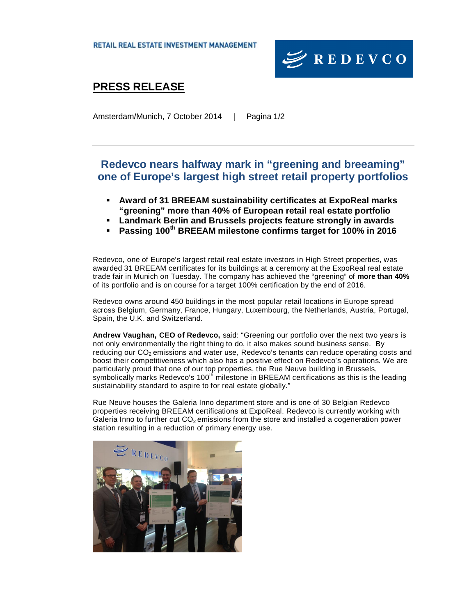

# **PRESS RELEASE**

Amsterdam/Munich, 7 October 2014 | Pagina 1/2

## **Redevco nears halfway mark in "greening and breeaming" one of Europe's largest high street retail property portfolios**

- � **Award of 31 BREEAM sustainability certificates at ExpoReal marks "greening" more than 40% of European retail real estate portfolio**
- � **Landmark Berlin and Brussels projects feature strongly in awards**
- � **Passing 100th BREEAM milestone confirms target for 100% in 2016**

Redevco, one of Europe's largest retail real estate investors in High Street properties, was awarded 31 BREEAM certificates for its buildings at a ceremony at the ExpoReal real estate trade fair in Munich on Tuesday. The company has achieved the "greening" of **more than 40%** of its portfolio and is on course for a target 100% certification by the end of 2016.

Redevco owns around 450 buildings in the most popular retail locations in Europe spread across Belgium, Germany, France, Hungary, Luxembourg, the Netherlands, Austria, Portugal, Spain, the U.K. and Switzerland.

**Andrew Vaughan, CEO of Redevco,** said: "Greening our portfolio over the next two years is not only environmentally the right thing to do, it also makes sound business sense. By reducing our  $CO<sub>2</sub>$  emissions and water use, Redevco's tenants can reduce operating costs and boost their competitiveness which also has a positive effect on Redevco's operations. We are particularly proud that one of our top properties, the Rue Neuve building in Brussels, symbolically marks Redevco's 100<sup>th</sup> milestone in BREEAM certifications as this is the leading sustainability standard to aspire to for real estate globally."

Rue Neuve houses the Galeria Inno department store and is one of 30 Belgian Redevco properties receiving BREEAM certifications at ExpoReal. Redevco is currently working with Galeria Inno to further cut  $CO<sub>2</sub>$  emissions from the store and installed a cogeneration power station resulting in a reduction of primary energy use.